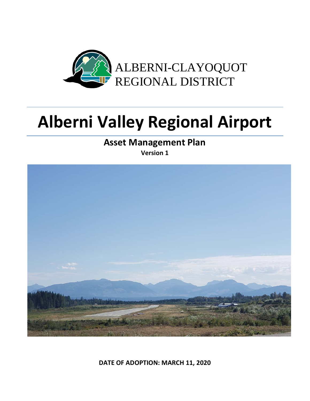

# **Alberni Valley Regional Airport**

**Asset Management Plan Version 1**



**DATE OF ADOPTION: MARCH 11, 2020**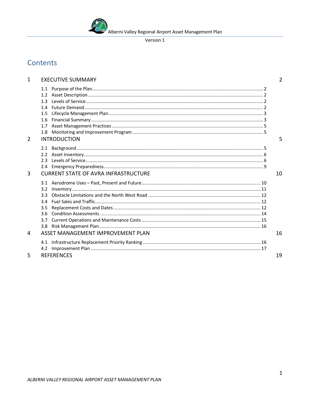#### Version 1

# Contents

| $\mathbf{1}$   | <b>EXECUTIVE SUMMARY</b>                                                                       | 2  |
|----------------|------------------------------------------------------------------------------------------------|----|
| 2              | 1.3<br>14<br>1.5<br>1.6<br>1.7<br>1.8<br><b>INTRODUCTION</b>                                   | 5  |
| $\overline{3}$ | 23<br><b>CURRENT STATE OF AVRA INFRASTRUCTURE</b>                                              | 10 |
| 4              | 3.2<br>3.3 <sup>°</sup><br>34<br>3.5<br>3.6<br>3.7<br>3.8<br>ASSET MANAGEMENT IMPROVEMENT PLAN | 16 |
|                |                                                                                                |    |
| 5              | <b>REFERENCES</b>                                                                              | 19 |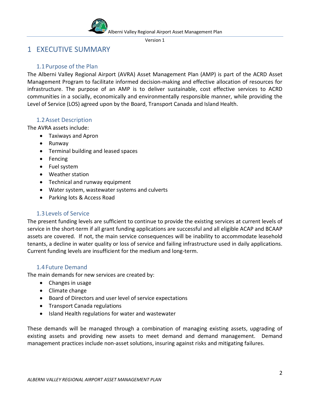

# <span id="page-2-0"></span>1 EXECUTIVE SUMMARY

# 1.1Purpose of the Plan

<span id="page-2-1"></span>The Alberni Valley Regional Airport (AVRA) Asset Management Plan (AMP) is part of the ACRD Asset Management Program to facilitate informed decision-making and effective allocation of resources for infrastructure. The purpose of an AMP is to deliver sustainable, cost effective services to ACRD communities in a socially, economically and environmentally responsible manner, while providing the Level of Service (LOS) agreed upon by the Board, Transport Canada and Island Health.

# 1.2Asset Description

<span id="page-2-2"></span>The AVRA assets include:

- Taxiways and Apron
- Runway
- Terminal building and leased spaces
- Fencing
- Fuel system
- Weather station
- Technical and runway equipment
- Water system, wastewater systems and culverts
- Parking lots & Access Road

# 1.3Levels of Service

<span id="page-2-3"></span>The present funding levels are sufficient to continue to provide the existing services at current levels of service in the short-term if all grant funding applications are successful and all eligible ACAP and BCAAP assets are covered. If not, the main service consequences will be inability to accommodate leasehold tenants, a decline in water quality or loss of service and failing infrastructure used in daily applications. Current funding levels are insufficient for the medium and long-term.

# <span id="page-2-4"></span>1.4Future Demand

The main demands for new services are created by:

- Changes in usage
- Climate change
- Board of Directors and user level of service expectations
- Transport Canada regulations
- Island Health regulations for water and wastewater

These demands will be managed through a combination of managing existing assets, upgrading of existing assets and providing new assets to meet demand and demand management. Demand management practices include non-asset solutions, insuring against risks and mitigating failures.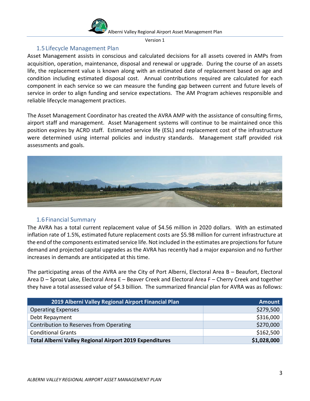

Version 1

# 1.5Lifecycle Management Plan

<span id="page-3-0"></span>Asset Management assists in conscious and calculated decisions for all assets covered in AMPs from acquisition, operation, maintenance, disposal and renewal or upgrade. During the course of an assets life, the replacement value is known along with an estimated date of replacement based on age and condition including estimated disposal cost. Annual contributions required are calculated for each component in each service so we can measure the funding gap between current and future levels of service in order to align funding and service expectations. The AM Program achieves responsible and reliable lifecycle management practices.

The Asset Management Coordinator has created the AVRA AMP with the assistance of consulting firms, airport staff and management. Asset Management systems will continue to be maintained once this position expires by ACRD staff. Estimated service life (ESL) and replacement cost of the infrastructure were determined using internal policies and industry standards. Management staff provided risk assessments and goals.



# 1.6Financial Summary

<span id="page-3-1"></span>The AVRA has a total current replacement value of \$4.56 million in 2020 dollars. With an estimated inflation rate of 1.5%, estimated future replacement costs are \$5.98 million for current infrastructure at the end of the components estimated service life. Not included in the estimates are projections for future demand and projected capital upgrades as the AVRA has recently had a major expansion and no further increases in demands are anticipated at this time.

The participating areas of the AVRA are the City of Port Alberni, Electoral Area B – Beaufort, Electoral Area D – Sproat Lake, Electoral Area E – Beaver Creek and Electoral Area F – Cherry Creek and together they have a total assessed value of \$4.3 billion. The summarized financial plan for AVRA was as follows:

| 2019 Alberni Valley Regional Airport Financial Plan            | <b>Amount</b> |
|----------------------------------------------------------------|---------------|
| <b>Operating Expenses</b>                                      | \$279,500     |
| Debt Repayment                                                 | \$316,000     |
| Contribution to Reserves from Operating                        | \$270,000     |
| <b>Conditional Grants</b>                                      | \$162,500     |
| <b>Total Alberni Valley Regional Airport 2019 Expenditures</b> | \$1,028,000   |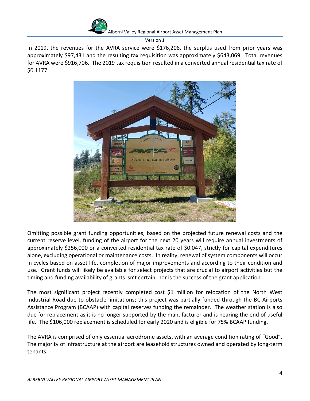

Version 1

In 2019, the revenues for the AVRA service were \$176,206, the surplus used from prior years was approximately \$97,431 and the resulting tax requisition was approximately \$643,069. Total revenues for AVRA were \$916,706. The 2019 tax requisition resulted in a converted annual residential tax rate of \$0.1177.



Omitting possible grant funding opportunities, based on the projected future renewal costs and the current reserve level, funding of the airport for the next 20 years will require annual investments of approximately \$256,000 or a converted residential tax rate of \$0.047, strictly for capital expenditures alone, excluding operational or maintenance costs. In reality, renewal of system components will occur in cycles based on asset life, completion of major improvements and according to their condition and use. Grant funds will likely be available for select projects that are crucial to airport activities but the timing and funding availability of grants isn't certain, nor is the success of the grant application.

The most significant project recently completed cost \$1 million for relocation of the North West Industrial Road due to obstacle limitations; this project was partially funded through the BC Airports Assistance Program (BCAAP) with capital reserves funding the remainder. The weather station is also due for replacement as it is no longer supported by the manufacturer and is nearing the end of useful life. The \$106,000 replacement is scheduled for early 2020 and is eligible for 75% BCAAP funding.

The AVRA is comprised of only essential aerodrome assets, with an average condition rating of "Good". The majority of infrastructure at the airport are leasehold structures owned and operated by long-term tenants.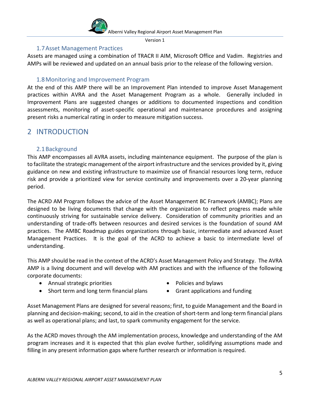

Version 1

# 1.7Asset Management Practices

<span id="page-5-0"></span>Assets are managed using a combination of TRACR II AIM, Microsoft Office and Vadim. Registries and AMPs will be reviewed and updated on an annual basis prior to the release of the following version.

# 1.8Monitoring and Improvement Program

<span id="page-5-1"></span>At the end of this AMP there will be an Improvement Plan intended to improve Asset Management practices within AVRA and the Asset Management Program as a whole. Generally included in Improvement Plans are suggested changes or additions to documented inspections and condition assessments, monitoring of asset-specific operational and maintenance procedures and assigning present risks a numerical rating in order to measure mitigation success.

# <span id="page-5-2"></span>2 INTRODUCTION

# <span id="page-5-3"></span>2.1Background

This AMP encompasses all AVRA assets, including maintenance equipment. The purpose of the plan is to facilitate the strategic management of the airport infrastructure and the services provided by it, giving guidance on new and existing infrastructure to maximize use of financial resources long term, reduce risk and provide a prioritized view for service continuity and improvements over a 20-year planning period.

The ACRD AM Program follows the advice of the Asset Management BC Framework (AMBC); Plans are designed to be living documents that change with the organization to reflect progress made while continuously striving for sustainable service delivery. Consideration of community priorities and an understanding of trade-offs between resources and desired services is the foundation of sound AM practices. The AMBC Roadmap guides organizations through basic, intermediate and advanced Asset Management Practices. It is the goal of the ACRD to achieve a basic to intermediate level of understanding.

This AMP should be read in the context of the ACRD's Asset Management Policy and Strategy. The AVRA AMP is a living document and will develop with AM practices and with the influence of the following corporate documents:

- Annual strategic priorities Policies and bylaws
- Short term and long term financial plans Grant applications and funding
- -

Asset Management Plans are designed for several reasons; first, to guide Management and the Board in planning and decision-making; second, to aid in the creation of short-term and long-term financial plans as well as operational plans; and last, to spark community engagement for the service.

As the ACRD moves through the AM implementation process, knowledge and understanding of the AM program increases and it is expected that this plan evolve further, solidifying assumptions made and filling in any present information gaps where further research or information is required.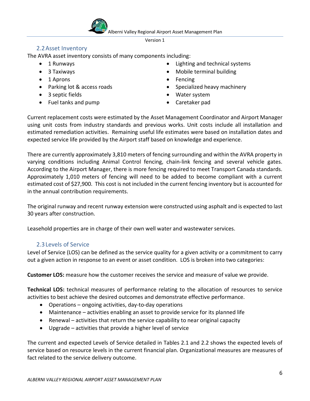#### Version 1

# 2.2Asset Inventory

<span id="page-6-0"></span>The AVRA asset inventory consists of many components including:

- 
- 
- 1 Aprons Fencing
- 
- 3 septic fields
- Fuel tanks and pump
- 1 Runways  **1 Aune 2018 Lighting and technical systems**
- 3 Taxiways **1988 Taximilary 1988 Mobile terminal building** 
	-
- Parking lot & access roads Specialized heavy machinery
	- Water system
	- Caretaker pad

Current replacement costs were estimated by the Asset Management Coordinator and Airport Manager using unit costs from industry standards and previous works. Unit costs include all installation and estimated remediation activities. Remaining useful life estimates were based on installation dates and expected service life provided by the Airport staff based on knowledge and experience.

There are currently approximately 3,810 meters of fencing surrounding and within the AVRA property in varying conditions including Animal Control fencing, chain-link fencing and several vehicle gates. According to the Airport Manager, there is more fencing required to meet Transport Canada standards. Approximately 1,010 meters of fencing will need to be added to become compliant with a current estimated cost of \$27,900. This cost is not included in the current fencing inventory but is accounted for in the annual contribution requirements.

The original runway and recent runway extension were constructed using asphalt and is expected to last 30 years after construction.

Leasehold properties are in charge of their own well water and wastewater services.

# 2.3Levels of Service

<span id="page-6-1"></span>Level of Service (LOS) can be defined as the service quality for a given activity or a commitment to carry out a given action in response to an event or asset condition. LOS is broken into two categories:

**Customer LOS:** measure how the customer receives the service and measure of value we provide.

**Technical LOS:** technical measures of performance relating to the allocation of resources to service activities to best achieve the desired outcomes and demonstrate effective performance.

- Operations ongoing activities, day-to-day operations
- Maintenance activities enabling an asset to provide service for its planned life
- Renewal activities that return the service capability to near original capacity
- Upgrade activities that provide a higher level of service

The current and expected Levels of Service detailed in Tables 2.1 and 2.2 shows the expected levels of service based on resource levels in the current financial plan. Organizational measures are measures of fact related to the service delivery outcome.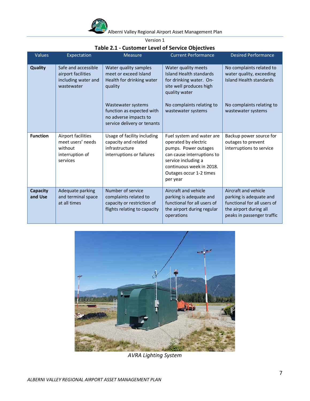

# **Table 2.1 - Customer Level of Service Objectives**

| Values                     | Expectation                                                                       | <b>Measure</b>                                                                                           | <b>Current Performance</b>                                                                                                                                                                        | <b>Desired Performance</b>                                                                                                             |
|----------------------------|-----------------------------------------------------------------------------------|----------------------------------------------------------------------------------------------------------|---------------------------------------------------------------------------------------------------------------------------------------------------------------------------------------------------|----------------------------------------------------------------------------------------------------------------------------------------|
| Quality                    | Safe and accessible<br>airport facilities<br>including water and<br>wastewater    | Water quality samples<br>meet or exceed Island<br>Health for drinking water<br>quality                   | Water quality meets<br>Island Health standards<br>for drinking water. On-<br>site well produces high<br>quality water                                                                             | No complaints related to<br>water quality, exceeding<br>Island Health standards                                                        |
|                            |                                                                                   | Wastewater systems<br>function as expected with<br>no adverse impacts to<br>service delivery or tenants  | No complaints relating to<br>wastewater systems                                                                                                                                                   | No complaints relating to<br>wastewater systems                                                                                        |
| <b>Function</b>            | Airport facilities<br>meet users' needs<br>without<br>interruption of<br>services | Usage of facility including<br>capacity and related<br>infrastructure<br>interruptions or failures       | Fuel system and water are<br>operated by electric<br>pumps. Power outages<br>can cause interruptions to<br>service including a<br>continuous week in 2018.<br>Outages occur 1-2 times<br>per year | Backup power source for<br>outages to prevent<br>interruptions to service                                                              |
| <b>Capacity</b><br>and Use | Adequate parking<br>and terminal space<br>at all times                            | Number of service<br>complaints related to<br>capacity or restriction of<br>flights relating to capacity | Aircraft and vehicle<br>parking is adequate and<br>functional for all users of<br>the airport during regular<br>operations                                                                        | Aircraft and vehicle<br>parking is adequate and<br>functional for all users of<br>the airport during all<br>peaks in passenger traffic |



*AVRA Lighting System*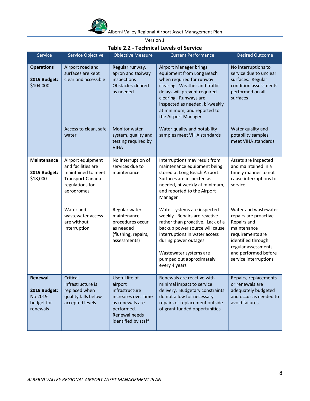

Version 1

### **Table 2.2 - Technical Levels of Service**

| Service                                                      | Service Objective                                                                                                  | <b>Objective Measure</b>                                                                                                                    | <b>Current Performance</b>                                                                                                                                                                                                                                               | Desired Outcome                                                                                                                                                                                |
|--------------------------------------------------------------|--------------------------------------------------------------------------------------------------------------------|---------------------------------------------------------------------------------------------------------------------------------------------|--------------------------------------------------------------------------------------------------------------------------------------------------------------------------------------------------------------------------------------------------------------------------|------------------------------------------------------------------------------------------------------------------------------------------------------------------------------------------------|
| <b>Operations</b><br>2019 Budget:<br>\$104,000               | Airport road and<br>surfaces are kept<br>clear and accessible                                                      | Regular runway,<br>apron and taxiway<br>inspections<br>Obstacles cleared<br>as needed                                                       | <b>Airport Manager brings</b><br>equipment from Long Beach<br>when required for runway<br>clearing. Weather and traffic<br>delays will prevent required<br>clearing. Runways are<br>inspected as needed, bi-weekly<br>at minimum, and reported to<br>the Airport Manager | No interruptions to<br>service due to unclear<br>surfaces. Regular<br>condition assessments<br>performed on all<br>surfaces                                                                    |
|                                                              | Access to clean, safe<br>water                                                                                     | <b>Monitor water</b><br>system, quality and<br>testing required by<br><b>VIHA</b>                                                           | Water quality and potability<br>samples meet VIHA standards                                                                                                                                                                                                              | Water quality and<br>potability samples<br>meet VIHA standards                                                                                                                                 |
| Maintenance<br>2019 Budget:<br>\$18,000                      | Airport equipment<br>and facilities are<br>maintained to meet<br>Transport Canada<br>regulations for<br>aerodromes | No interruption of<br>services due to<br>maintenance                                                                                        | Interruptions may result from<br>maintenance equipment being<br>stored at Long Beach Airport.<br>Surfaces are inspected as<br>needed, bi-weekly at minimum,<br>and reported to the Airport<br>Manager                                                                    | Assets are inspected<br>and maintained in a<br>timely manner to not<br>cause interruptions to<br>service                                                                                       |
|                                                              | Water and<br>wastewater access<br>are without<br>interruption                                                      | Regular water<br>maintenance<br>procedures occur<br>as needed<br>(flushing, repairs,<br>assessments)                                        | Water systems are inspected<br>weekly. Repairs are reactive<br>rather than proactive. Lack of a<br>backup power source will cause<br>interruptions in water access<br>during power outages<br>Wastewater systems are<br>pumped out approximately<br>every 4 years        | Water and wastewater<br>repairs are proactive.<br>Repairs and<br>maintenance<br>requirements are<br>identified through<br>regular assessments<br>and performed before<br>service interruptions |
| Renewal<br>2019 Budget:<br>No 2019<br>budget for<br>renewals | Critical<br>infrastructure is<br>replaced when<br>quality falls below<br>accepted levels                           | Useful life of<br>airport<br>infrastructure<br>increases over time<br>as renewals are<br>performed.<br>Renewal needs<br>identified by staff | Renewals are reactive with<br>minimal impact to service<br>delivery. Budgetary constraints<br>do not allow for necessary<br>repairs or replacement outside<br>of grant funded opportunities                                                                              | Repairs, replacements<br>or renewals are<br>adequately budgeted<br>and occur as needed to<br>avoid failures                                                                                    |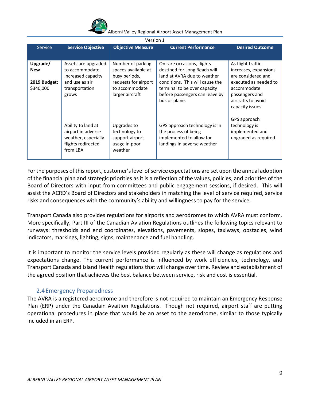

| Version 1                 |                                                                                                   |                                                                             |                                                                                                                    |                                                                                                 |
|---------------------------|---------------------------------------------------------------------------------------------------|-----------------------------------------------------------------------------|--------------------------------------------------------------------------------------------------------------------|-------------------------------------------------------------------------------------------------|
| Service                   | <b>Service Objective</b>                                                                          | <b>Objective Measure</b>                                                    | <b>Current Performance</b>                                                                                         | <b>Desired Outcome</b>                                                                          |
|                           |                                                                                                   |                                                                             |                                                                                                                    |                                                                                                 |
| Upgrade/<br><b>New</b>    | Assets are upgraded<br>to accommodate<br>increased capacity                                       | Number of parking<br>spaces available at<br>busy periods,                   | On rare occasions, flights<br>destined for Long Beach will<br>land at AVRA due to weather                          | As flight traffic<br>increases, expansions<br>are considered and                                |
| 2019 Budget:<br>\$340,000 | and use as air<br>transportation<br>grows                                                         | requests for airport<br>to accommodate<br>larger aircraft                   | conditions. This will cause the<br>terminal to be over capacity<br>before passengers can leave by<br>bus or plane. | executed as needed to<br>accommodate<br>passengers and<br>aircrafts to avoid<br>capacity issues |
|                           | Ability to land at<br>airport in adverse<br>weather, especially<br>flights redirected<br>from LBA | Upgrades to<br>technology to<br>support airport<br>usage in poor<br>weather | GPS approach technology is in<br>the process of being<br>implemented to allow for<br>landings in adverse weather   | GPS approach<br>technology is<br>implemented and<br>upgraded as required                        |

For the purposes of this report, customer's level of service expectations are set upon the annual adoption of the financial plan and strategic priorities as it is a reflection of the values, policies, and priorities of the Board of Directors with input from committees and public engagement sessions, if desired. This will assist the ACRD's Board of Directors and stakeholders in matching the level of service required, service risks and consequences with the community's ability and willingness to pay for the service.

Transport Canada also provides regulations for airports and aerodromes to which AVRA must conform. More specifically, Part III of the Canadian Aviation Regulations outlines the following topics relevant to runways: thresholds and end coordinates, elevations, pavements, slopes, taxiways, obstacles, wind indicators, markings, lighting, signs, maintenance and fuel handling.

It is important to monitor the service levels provided regularly as these will change as regulations and expectations change. The current performance is influenced by work efficiencies, technology, and Transport Canada and Island Health regulations that will change over time. Review and establishment of the agreed position that achieves the best balance between service, risk and cost is essential.

# <span id="page-9-0"></span>2.4Emergency Preparedness

The AVRA is a registered aerodrome and therefore is not required to maintain an Emergency Response Plan (ERP) under the Canadain Avaition Regulations. Though not required, airport staff are putting operational procedures in place that would be an asset to the aerodrome, similar to those typically included in an ERP.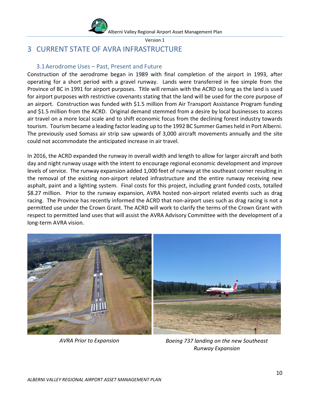

# <span id="page-10-0"></span>3 CURRENT STATE OF AVRA INFRASTRUCTURE

## <span id="page-10-1"></span>3.1Aerodrome Uses – Past, Present and Future

Construction of the aerodrome began in 1989 with final completion of the airport in 1993, after operating for a short period with a gravel runway. Lands were transferred in fee simple from the Province of BC in 1991 for airport purposes. Title will remain with the ACRD so long as the land is used for airport purposes with restrictive covenants stating that the land will be used for the core purpose of an airport. Construction was funded with \$1.5 million from Air Transport Assistance Program funding and \$1.5 million from the ACRD. Original demand stemmed from a desire by local businesses to access air travel on a more local scale and to shift economic focus from the declining forest industry towards tourism. Tourism became a leading factor leading up to the 1992 BC Summer Games held in Port Alberni. The previously used Somass air strip saw upwards of 3,000 aircraft movements annually and the site could not accommodate the anticipated increase in air travel.

In 2016, the ACRD expanded the runway in overall width and length to allow for larger aircraft and both day and night runway usage with the intent to encourage regional economic development and improve levels of service. The runway expansion added 1,000 feet of runway at the southeast corner resulting in the removal of the existing non-airport related infrastructure and the entire runway receiving new asphalt, paint and a lighting system. Final costs for this project, including grant funded costs, totalled \$8.27 million. Prior to the runway expansion, AVRA hosted non-airport related events such as drag racing. The Province has recently informed the ACRD that non-airport uses such as drag racing is not a permitted use under the Crown Grant. The ACRD will work to clarify the terms of the Crown Grant with respect to permitted land uses that will assist the AVRA Advisory Committee with the development of a long-term AVRA vision.



*AVRA Prior to Expansion Boeing 737 landing on the new Southeast Runway Expansion*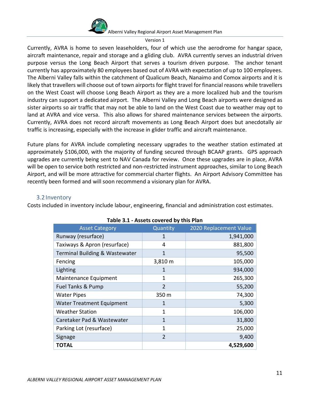

Version 1

Currently, AVRA is home to seven leaseholders, four of which use the aerodrome for hangar space, aircraft maintenance, repair and storage and a gliding club. AVRA currently serves an industrial driven purpose versus the Long Beach Airport that serves a tourism driven purpose. The anchor tenant currently has approximately 80 employees based out of AVRA with expectation of up to 100 employees. The Alberni Valley falls within the catchment of Qualicum Beach, Nanaimo and Comox airports and it is likely that travellers will choose out of town airports for flight travel for financial reasons while travellers on the West Coast will choose Long Beach Airport as they are a more localized hub and the tourism industry can support a dedicated airport. The Alberni Valley and Long Beach airports were designed as sister airports so air traffic that may not be able to land on the West Coast due to weather may opt to land at AVRA and vice versa. This also allows for shared maintenance services between the airports. Currently, AVRA does not record aircraft movements as Long Beach Airport does but anecdotally air traffic is increasing, especially with the increase in glider traffic and aircraft maintenance.

Future plans for AVRA include completing necessary upgrades to the weather station estimated at approximately \$106,000, with the majority of funding secured through BCAAP grants. GPS approach upgrades are currently being sent to NAV Canada for review. Once these upgrades are in place, AVRA will be open to service both restricted and non-restricted instrument approaches, similar to Long Beach Airport, and will be more attractive for commercial charter flights. An Airport Advisory Committee has recently been formed and will soon recommend a visionary plan for AVRA.

# 3.2Inventory

<span id="page-11-0"></span>Costs included in inventory include labour, engineering, financial and administration cost estimates.

| <u>wic oil and control come wy this restri</u> |                |                        |  |
|------------------------------------------------|----------------|------------------------|--|
| <b>Asset Category</b>                          | Quantity       | 2020 Replacement Value |  |
| Runway (resurface)                             | 1              | 1,941,000              |  |
| Taxiways & Apron (resurface)                   | 4              | 881,800                |  |
| Terminal Building & Wastewater                 | 1              | 95,500                 |  |
| Fencing                                        | 3,810 m        | 105,000                |  |
| Lighting                                       | 1              | 934,000                |  |
| Maintenance Equipment                          | 1              | 265,300                |  |
| <b>Fuel Tanks &amp; Pump</b>                   | $\overline{2}$ | 55,200                 |  |
| <b>Water Pipes</b>                             | 350 m          | 74,300                 |  |
| <b>Water Treatment Equipment</b>               | 1              | 5,300                  |  |
| <b>Weather Station</b>                         | 1              | 106,000                |  |
| Caretaker Pad & Wastewater                     | $\mathbf{1}$   | 31,800                 |  |
| Parking Lot (resurface)                        | 1              | 25,000                 |  |
| Signage                                        | $\overline{2}$ | 9,400                  |  |
| TOTAL                                          |                | 4,529,600              |  |
|                                                |                |                        |  |

#### **Table 3.1 - Assets covered by this Plan**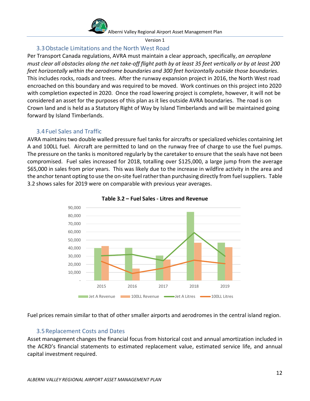

#### Version 1

# 3.3Obstacle Limitations and the North West Road

<span id="page-12-0"></span>Per Transport Canada regulations, AVRA must maintain a clear approach, specifically, *an aeroplane must clear all obstacles along the net take-off flight path by at least 35 feet vertically or by at least 200 feet horizontally within the aerodrome boundaries and 300 feet horizontally outside those boundaries*. This includes rocks, roads and trees. After the runway expansion project in 2016, the North West road encroached on this boundary and was required to be moved. Work continues on this project into 2020 with completion expected in 2020. Once the road lowering project is complete, however, it will not be considered an asset for the purposes of this plan as it lies outside AVRA boundaries. The road is on Crown land and is held as a Statutory Right of Way by Island Timberlands and will be maintained going forward by Island Timberlands.

# 3.4Fuel Sales and Traffic

<span id="page-12-1"></span>AVRA maintains two double walled pressure fuel tanks for aircrafts or specialized vehicles containing Jet A and 100LL fuel. Aircraft are permitted to land on the runway free of charge to use the fuel pumps. The pressure on the tanks is monitored regularly by the caretaker to ensure that the seals have not been compromised. Fuel sales increased for 2018, totalling over \$125,000, a large jump from the average \$65,000 in sales from prior years. This was likely due to the increase in wildfire activity in the area and the anchor tenant opting to use the on-site fuel rather than purchasing directly from fuel suppliers. Table 3.2 shows sales for 2019 were on comparable with previous year averages.





Fuel prices remain similar to that of other smaller airports and aerodromes in the central island region.

# 3.5Replacement Costs and Dates

<span id="page-12-2"></span>Asset management changes the financial focus from historical cost and annual amortization included in the ACRD's financial statements to estimated replacement value, estimated service life, and annual capital investment required.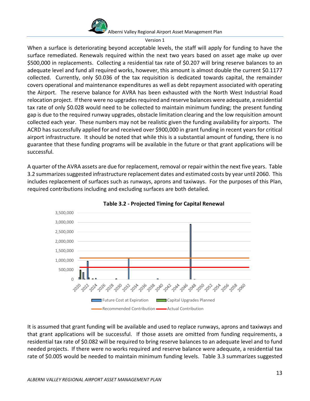

Version 1

When a surface is deteriorating beyond acceptable levels, the staff will apply for funding to have the surface remediated. Renewals required within the next two years based on asset age make up over \$500,000 in replacements. Collecting a residential tax rate of \$0.207 will bring reserve balances to an adequate level and fund all required works, however, this amount is almost double the current \$0.1177 collected. Currently, only \$0.036 of the tax requisition is dedicated towards capital, the remainder covers operational and maintenance expenditures as well as debt repayment associated with operating the Airport. The reserve balance for AVRA has been exhausted with the North West Industrial Road relocation project. If there were no upgrades required and reserve balances were adequate, a residential tax rate of only \$0.028 would need to be collected to maintain minimum funding; the present funding gap is due to the required runway upgrades, obstacle limitation clearing and the low requisition amount collected each year. These numbers may not be realistic given the funding availability for airports. The ACRD has successfully applied for and received over \$900,000 in grant funding in recent years for critical airport infrastructure. It should be noted that while this is a substantial amount of funding, there is no guarantee that these funding programs will be available in the future or that grant applications will be successful.

A quarter of the AVRA assets are due for replacement, removal or repair within the next five years. Table 3.2 summarizes suggested infrastructure replacement dates and estimated costs by year until 2060. This includes replacement of surfaces such as runways, aprons and taxiways. For the purposes of this Plan, required contributions including and excluding surfaces are both detailed.





It is assumed that grant funding will be available and used to replace runways, aprons and taxiways and that grant applications will be successful. If those assets are omitted from funding requirements, a residential tax rate of \$0.082 will be required to bring reserve balances to an adequate level and to fund needed projects. If there were no works required and reserve balance were adequate, a residential tax rate of \$0.005 would be needed to maintain minimum funding levels. Table 3.3 summarizes suggested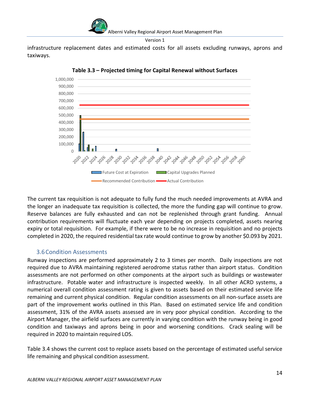

infrastructure replacement dates and estimated costs for all assets excluding runways, aprons and taxiways.



**Table 3.3 – Projected timing for Capital Renewal without Surfaces**

The current tax requisition is not adequate to fully fund the much needed improvements at AVRA and the longer an inadequate tax requisition is collected, the more the funding gap will continue to grow. Reserve balances are fully exhausted and can not be replenished through grant funding. Annual contribution requirements will fluctuate each year depending on projects completed, assets nearing expiry or total requisition. For example, if there were to be no increase in requisition and no projects completed in 2020, the required residential tax rate would continue to grow by another \$0.093 by 2021.

# <span id="page-14-0"></span>3.6Condition Assessments

Runway inspections are performed approximately 2 to 3 times per month. Daily inspections are not required due to AVRA maintaining registered aerodrome status rather than airport status. Condition assessments are not performed on other components at the airport such as buildings or wastewater infrastructure. Potable water and infrastructure is inspected weekly. In all other ACRD systems, a numerical overall condition assessment rating is given to assets based on their estimated service life remaining and current physical condition. Regular condition assessments on all non-surface assets are part of the improvement works outlined in this Plan. Based on estimated service life and condition assessment, 31% of the AVRA assets assessed are in very poor physical condition. According to the Airport Manager, the airfield surfaces are currently in varying condition with the runway being in good condition and taxiways and aprons being in poor and worsening conditions. Crack sealing will be required in 2020 to maintain required LOS.

Table 3.4 shows the current cost to replace assets based on the percentage of estimated useful service life remaining and physical condition assessment.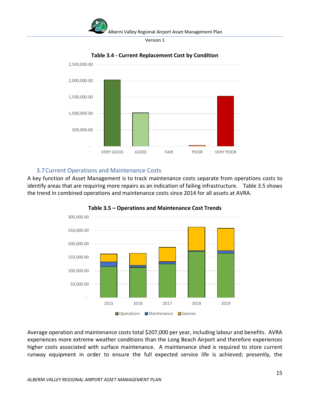



**Table 3.4 - Current Replacement Cost by Condition**

# 3.7Current Operations and Maintenance Costs

<span id="page-15-0"></span>A key function of Asset Management is to track maintenance costs separate from operations costs to identify areas that are requiring more repairs as an indication of failing infrastructure. Table 3.5 shows the trend in combined operations and maintenance costs since 2014 for all assets at AVRA.



**Table 3.5 – Operations and Maintenance Cost Trends**

Average operation and maintenance costs total \$207,000 per year, including labour and benefits. AVRA experiences more extreme weather conditions than the Long Beach Airport and therefore experiences higher costs associated with surface maintenance. A maintenance shed is required to store current runway equipment in order to ensure the full expected service life is achieved; presently, the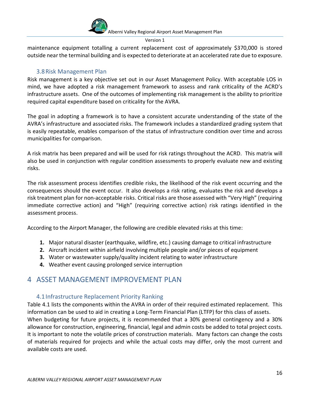

#### Version 1

maintenance equipment totalling a current replacement cost of approximately \$370,000 is stored outside near the terminal building and is expected to deteriorate at an accelerated rate due to exposure.

# 3.8Risk Management Plan

<span id="page-16-0"></span>Risk management is a key objective set out in our Asset Management Policy. With acceptable LOS in mind, we have adopted a risk management framework to assess and rank criticality of the ACRD's infrastructure assets. One of the outcomes of implementing risk management is the ability to prioritize required capital expenditure based on criticality for the AVRA.

The goal in adopting a framework is to have a consistent accurate understanding of the state of the AVRA's infrastructure and associated risks. The framework includes a standardized grading system that is easily repeatable, enables comparison of the status of infrastructure condition over time and across municipalities for comparison.

A risk matrix has been prepared and will be used for risk ratings throughout the ACRD. This matrix will also be used in conjunction with regular condition assessments to properly evaluate new and existing risks.

The risk assessment process identifies credible risks, the likelihood of the risk event occurring and the consequences should the event occur. It also develops a risk rating, evaluates the risk and develops a risk treatment plan for non-acceptable risks. Critical risks are those assessed with "Very High" (requiring immediate corrective action) and "High" (requiring corrective action) risk ratings identified in the assessment process.

According to the Airport Manager, the following are credible elevated risks at this time:

- **1.** Major natural disaster (earthquake, wildfire, etc.) causing damage to critical infrastructure
- **2.** Aircraft incident within airfield involving multiple people and/or pieces of equipment
- **3.** Water or wastewater supply/quality incident relating to water infrastructure
- **4.** Weather event causing prolonged service interruption

# <span id="page-16-1"></span>4 ASSET MANAGEMENT IMPROVEMENT PLAN

# <span id="page-16-2"></span>4.1Infrastructure Replacement Priority Ranking

Table 4.1 lists the components within the AVRA in order of their required estimated replacement. This information can be used to aid in creating a Long-Term Financial Plan (LTFP) for this class of assets. When budgeting for future projects, it is recommended that a 30% general contingency and a 30% allowance for construction, engineering, financial, legal and admin costs be added to total project costs. It is important to note the volatile prices of construction materials. Many factors can change the costs of materials required for projects and while the actual costs may differ, only the most current and available costs are used.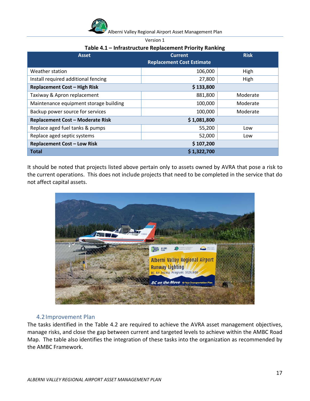| Alberni Valley Regional Airport Asset Management Plan |
|-------------------------------------------------------|
|                                                       |

## **Table 4.1 – Infrastructure Replacement Priority Ranking**

| <b>Asset</b>                            | <b>Current</b><br><b>Replacement Cost Estimate</b> | <b>Risk</b> |
|-----------------------------------------|----------------------------------------------------|-------------|
| Weather station                         | 106,000                                            | High        |
| Install required additional fencing     | 27,800                                             | High        |
| Replacement Cost - High Risk            | \$133,800                                          |             |
| Taxiway & Apron replacement             | 881,800                                            | Moderate    |
| Maintenance equipment storage building  | 100,000                                            | Moderate    |
| Backup power source for services        | 100,000                                            | Moderate    |
| <b>Replacement Cost - Moderate Risk</b> | \$1,081,800                                        |             |
| Replace aged fuel tanks & pumps         | 55,200                                             | Low         |
| Replace aged septic systems             | 52,000                                             | Low         |
| <b>Replacement Cost - Low Risk</b>      | \$107,200                                          |             |
| <b>Total</b>                            | \$1,322,700                                        |             |

It should be noted that projects listed above pertain only to assets owned by AVRA that pose a risk to the current operations. This does not include projects that need to be completed in the service that do not affect capital assets.



# <span id="page-17-0"></span>4.2Improvement Plan

The tasks identified in the Table 4.2 are required to achieve the AVRA asset management objectives, manage risks, and close the gap between current and targeted levels to achieve within the AMBC Road Map. The table also identifies the integration of these tasks into the organization as recommended by the AMBC Framework.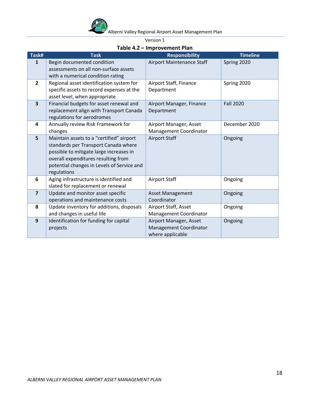

Version 1

| Task#                   | <b>Task</b>                                                                                                                                                                                                                     | <b>Responsibility</b>                                                | <b>Timeline</b>  |
|-------------------------|---------------------------------------------------------------------------------------------------------------------------------------------------------------------------------------------------------------------------------|----------------------------------------------------------------------|------------------|
| $\mathbf{1}$            | Begin documented condition<br>assessments on all non-surface assets<br>with a numerical condition rating                                                                                                                        | Airport Maintenance Staff                                            | Spring 2020      |
| $\overline{2}$          | Regional asset identification system for<br>specific assets to record expenses at the<br>asset level, when appropriate                                                                                                          | Airport Staff, Finance<br>Department                                 | Spring 2020      |
| $\overline{\mathbf{3}}$ | Financial budgets for asset renewal and<br>replacement align with Transport Canada<br>regulations for aerodromes                                                                                                                | Airport Manager, Finance<br>Department                               | <b>Fall 2020</b> |
| 4                       | Annually review Risk Framework for<br>changes                                                                                                                                                                                   | Airport Manager, Asset<br>Management Coordinator                     | December 2020    |
| 5                       | Maintain assets to a "certified" airport<br>standards per Transport Canada where<br>possible to mitigate large increases in<br>overall expenditures resulting from<br>potential changes in Levels of Service and<br>regulations | <b>Airport Staff</b>                                                 | Ongoing          |
| 6                       | Aging infrastructure is identified and<br>slated for replacement or renewal                                                                                                                                                     | <b>Airport Staff</b>                                                 | Ongoing          |
| $\overline{7}$          | Update and monitor asset specific<br>operations and maintenance costs                                                                                                                                                           | <b>Asset Management</b><br>Coordinator                               | Ongoing          |
| 8                       | Update inventory for additions, disposals<br>and changes in useful life                                                                                                                                                         | Airport Staff, Asset<br>Management Coordinator                       | Ongoing          |
| 9                       | Identification for funding for capital<br>projects                                                                                                                                                                              | Airport Manager, Asset<br>Management Coordinator<br>where applicable | Ongoing          |